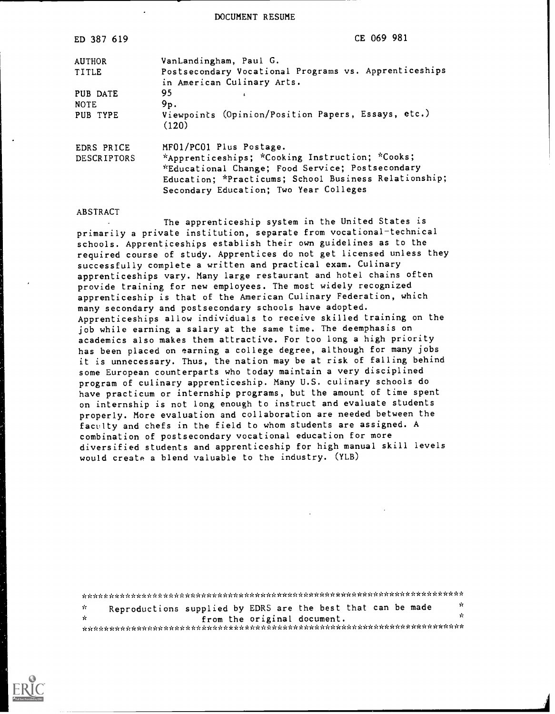DOCUMENT RESUME

| ED 387 619         | CE 069 981                                                                                                                                                                                             |  |  |  |  |  |
|--------------------|--------------------------------------------------------------------------------------------------------------------------------------------------------------------------------------------------------|--|--|--|--|--|
| <b>AUTHOR</b>      | VanLandingham, Paul G.                                                                                                                                                                                 |  |  |  |  |  |
| TITLE              | Postsecondary Vocational Programs vs. Apprenticeships<br>in American Culinary Arts.                                                                                                                    |  |  |  |  |  |
| PUB DATE           | 95                                                                                                                                                                                                     |  |  |  |  |  |
| <b>NOTE</b>        | 9p.                                                                                                                                                                                                    |  |  |  |  |  |
| PUB TYPE           | Viewpoints (Opinion/Position Papers, Essays, etc.)<br>(120)                                                                                                                                            |  |  |  |  |  |
| EDRS PRICE         | MF01/PC01 Plus Postage.                                                                                                                                                                                |  |  |  |  |  |
| <b>DESCRIPTORS</b> | *Apprenticeships; *Cooking Instruction; *Cooks;<br>*Educational Change; Food Service; Postsecondary<br>Education; *Practicums; School Business Relationship;<br>Secondary Education; Two Year Colleges |  |  |  |  |  |

## ABSTRACT

The apprenticeship system in the United States is primarily a private institution, separate from vocational-technical schools. Apprenticeships establish their own guidelines as to the required course of study. Apprentices do not get licensed unless they successfully complete a written and practical exam. Culinary apprenticeships vary. Many large restaurant and hotel chains often provide training for new employees. The most widely recognized apprenticeship is that of the American Culinary Federation, which many secondary and postsecondary schools have adopted. Apprenticeships allow individuals to receive skilled training on the job while earning a salary at the same time. The deemphasis on academics also makes them attractive. For too long a high priority has been placed on earning a college degree, although for many jobs it is unnecessary. Thus, the nation may be at risk of falling behind some European counterparts who today maintain a very disciplined program of culinary apprenticeship. Many U.S. culinary schools do have practicum or internship programs, but the amount of time spent on internship is not long enough to instruct and evaluate students properly. More evaluation and collaboration are needed between the faculty and chefs in the field to whom students are assigned. A combination of postsecondary vocational education for more diversified students and apprenticeship for high manual skill levels would create a blend valuable to the industry. (YLB)

| <b>STEP</b> | Reproductions supplied by EDRS are the best that can be made |                             |  |  |  | n. |
|-------------|--------------------------------------------------------------|-----------------------------|--|--|--|----|
| - de        |                                                              | from the original document. |  |  |  | x  |
|             |                                                              |                             |  |  |  |    |

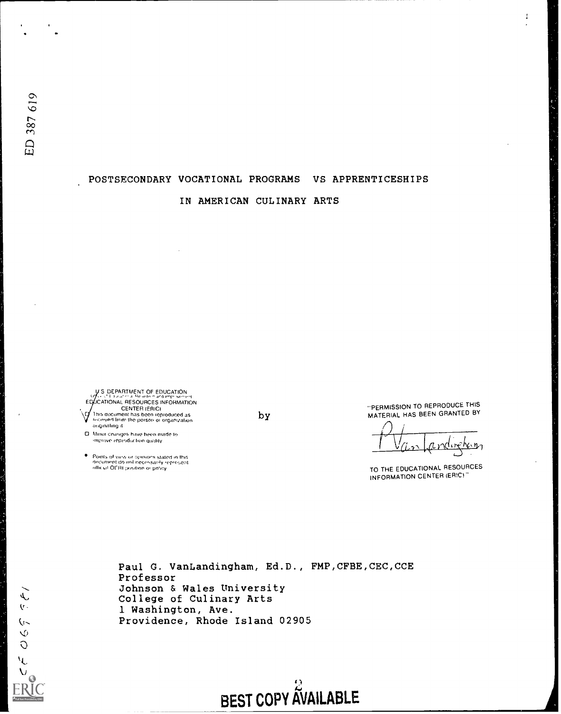$\infty$  and  $\infty$ 

## POSTSECONDARY VOCATIONAL PROGRAMS VS APPRENTICESHIPS

## IN AMERICAN CULINARY ARTS

S DEPARTMENT OF EDUCATION E CATIONAL RESOURCES INFORMATION CENTER IERICi C/ This document has been reproduced as<br>V : tecewed Irony the person or organization

 $\square$  Minor cnanges have been made to improve reproduction quality.

Points of view or opinions stated in this:<br>document do not necessarily represent<br>official OEREposition or policy

by

"PERMISSION TO REPRODUCE THIS MATERIAL HAS BEEN GRANTED BY İ

 $\sqrt{1-a}$  and refer

TO THE EDUCATIONAL RESOURCES INFORMATION CENTER (ERIC)

Paul G. VanLandingham, Ed.D., FMP, CFBE, CEC, CCE Professor Johnson & Wales University College of Culinary Arts 1 Washington, Ave. Providence, Rhode Island 02905

BEST COPY AVAILABLE

ار.<br>م 590  $\overline{C}$  $\vee$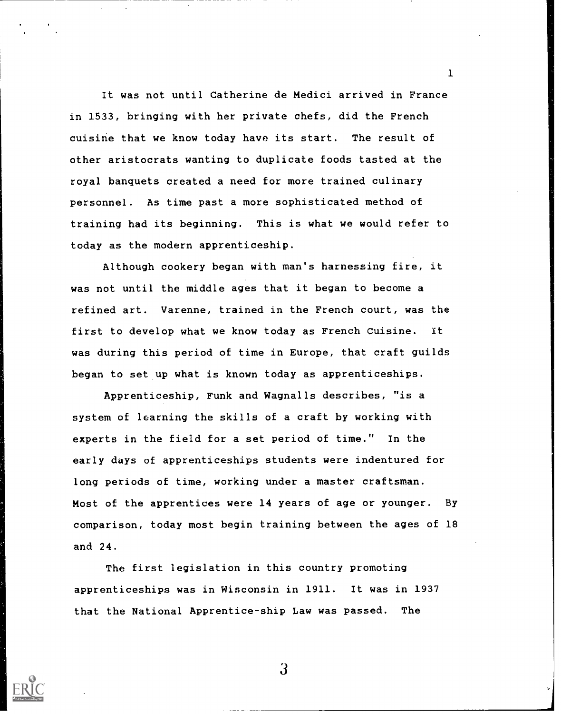It was not until Catherine de Medici arrived in France in 1533, bringing with her private chefs, did the French cuisine that we know today have its start. The result of other aristocrats wanting to duplicate foods tasted at the royal banquets created a need for more trained culinary personnel. As time past a more sophisticated method of training had its beginning. This is what we would refer to today as the modern apprenticeship.

 $\mathbf{T}$  and  $\mathbf{T}$ 

Although cookery began with man's harnessing fire, it was not until the middle ages that it began to become a refined art. Varenne, trained in the French court, was the first to develop what we know today as French Cuisine. It was during this period of time in Europe, that craft guilds began to set up what is known today as apprenticeships.

Apprenticeship, Funk and Wagnalls describes, "is a system of learning the skills of a craft by working with experts in the field for a set period of time." In the early days of apprenticeships students were indentured for long periods of time, working under a master craftsman. Most of the apprentices were 14 years of age or younger. By comparison, today most begin training between the ages of 18 and 24.

The first legislation in this country promoting apprenticeships was in Wisconsin in 1911. It was in 1937 that the National Apprentice-ship Law was passed. The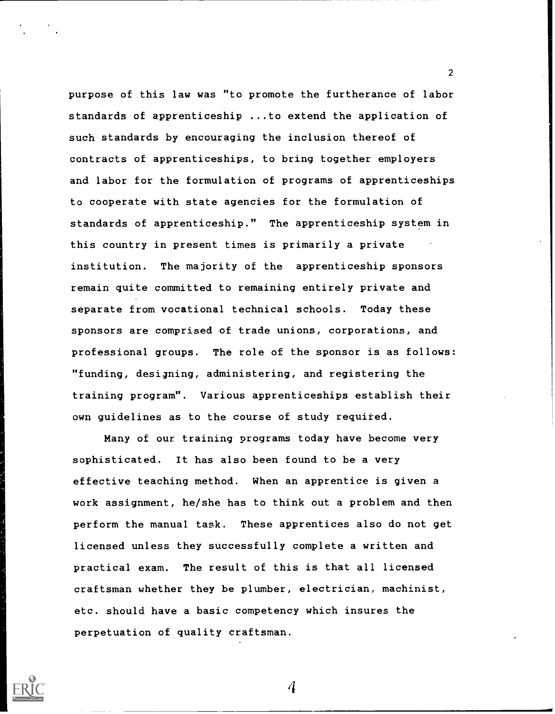purpose of this law was "to promote the furtherance of labor standards of apprenticeship ...to extend the application of such standards by encouraging the inclusion thereof of contracts of apprenticeships, to bring together employers and labor for the formulation of programs of apprenticeships to cooperate with state agencies for the formulation of standards of apprenticeship." The apprenticeship system in this country in present times is primarily a private institution. The majority of the apprenticeship sponsors remain quite committed to remaining entirely private and separate from vocational technical schools. Today these sponsors are comprised of trade unions, corporations, and professional groups. The role of the sponsor is as follows: "funding, designing, administering, and registering the training program". Various apprenticeships establish their own guidelines as to the course of study requited.

2

Many of our training programs today have become very sophisticated. It has also been found to be a very effective teaching method. When an apprentice is given a work assignment, he/she has to think out a problem and then perform the manual task. These apprentices also do not get licensed unless they successfully complete a written and practical exam. The result of this is that all licensed craftsman whether they be plumber, electrician, machinist, etc. should have a basic competency which insures the perpetuation of quality craftsman.



 $\mathcal{A}$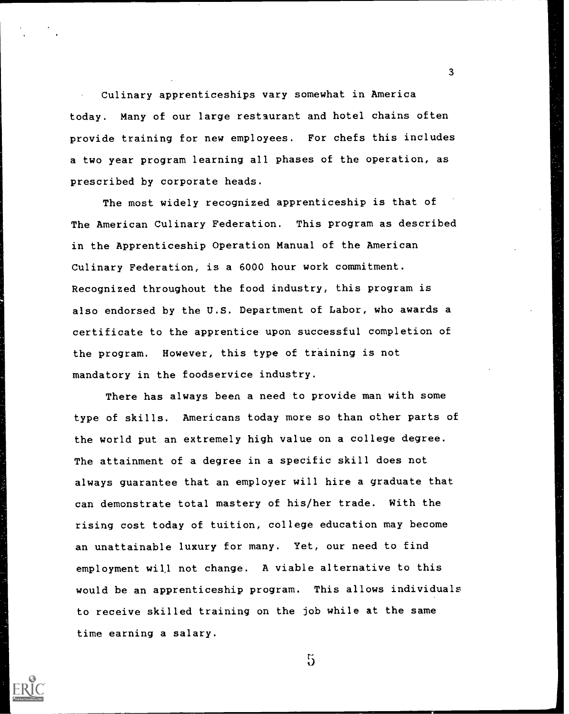Culinary apprenticeships vary somewhat in America today. Many of our large restaurant and hotel chains often provide training for new employees. For chefs this includes a two year program learning all phases of the operation, as prescribed by corporate heads.

3

The most widely recognized apprenticeship is that of The American Culinary Federation. This program as described in the Apprenticeship Operation Manual of the American Culinary Federation, is a 6000 hour work commitment. Recognized throughout the food industry, this program is also endorsed by the U.S. Department of Labor, who awards a certificate to the apprentice upon successful completion of the program. However, this type of training is not mandatory in the foodservice industry.

There has always been a need to provide man with some type of skills. Americans today more so than other parts of the world put an extremely high value on a college degree. The attainment of a degree in a specific skill does not always guarantee that an employer will hire a graduate that can demonstrate total mastery of his/her trade. With the rising cost today of tuition, college education may become an unattainable luxury for many. Yet, our need to find employment will not change. A viable alternative to this would be an apprenticeship program. This allows individuals to receive skilled training on the job while at the same time earning a salary.



 $\ddot{5}$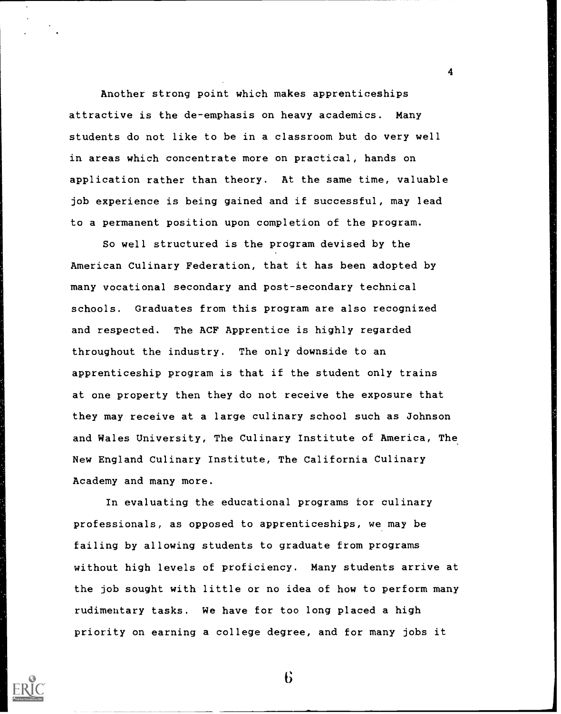Another strong point which makes apprenticeships attractive is the de-emphasis on heavy academics. Many students do not like to be in a classroom but do very well in areas which concentrate more on practical, hands on application rather than theory. At the same time, valuable job experience is being gained and if successful, may lead to a permanent position upon completion of the program.

4

So well structured is the program devised by the American Culinary Federation, that it has been adopted by many vocational secondary and post-secondary technical schools. Graduates from this program are also recognized and respected. The ACF Apprentice is highly regarded throughout the industry. The only downside to an apprenticeship program is that if the student only trains at one property then they do not receive the exposure that they may receive at a large culinary school such as Johnson and Wales University, The Culinary Institute of America, The New England Culinary Institute, The California Culinary Academy and many more.

In evaluating the educational programs tor culinary professionals, as opposed to apprenticeships, we may be failing by allowing students to graduate from programs without high levels of proficiency. Many students arrive at the job sought with little or no idea of how to perform many rudimentary tasks. We have for too long placed a high priority on earning a college degree, and for many jobs it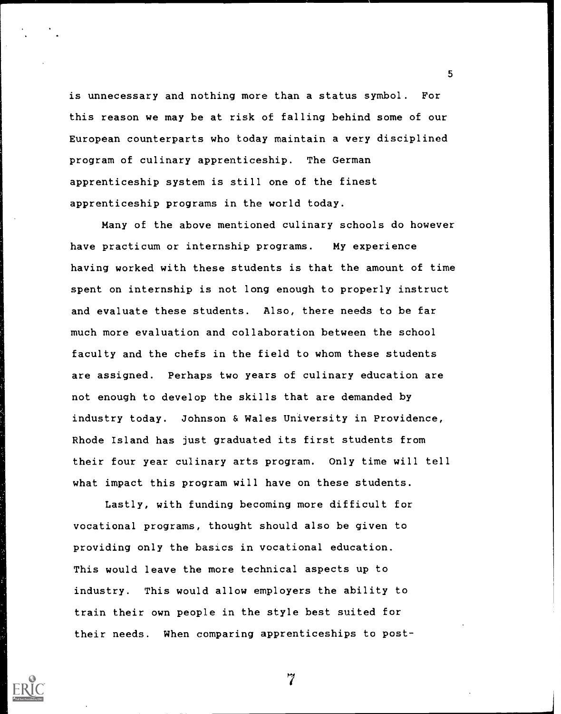is unnecessary and nothing more than a status symbol. For this reason we may be at risk of falling behind some of our European counterparts who today maintain a very disciplined program of culinary apprenticeship. The German apprenticeship system is still one of the finest apprenticeship programs in the world today.

5

Many of the above mentioned culinary schools do however have practicum or internship programs. My experience having worked with these students is that the amount of time spent on internship is not long enough to properly instruct and evaluate these students. Also, there needs to be far much more evaluation and collaboration between the school faculty and the chefs in the field to whom these students are assigned. Perhaps two years of culinary education are not enough to develop the skills that are demanded by industry today. Johnson & Wales University in Providence, Rhode Island has just graduated its first students from their four year culinary arts program. Only time will tell what impact this program will have on these students.

Lastly, with funding becoming more difficult for vocational programs, thought should also be given to providing only the basics in vocational education. This would leave the more technical aspects up to industry. This would allow employers the ability to train their own people in the style best suited for their needs. When comparing apprenticeships to post-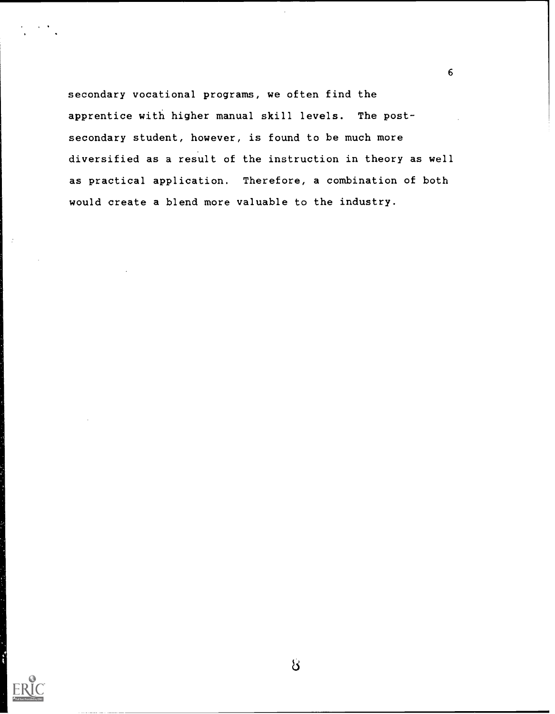secondary vocational programs, we often find the apprentice with higher manual skill levels. The postsecondary student, however, is found to be much more diversified as a result of the instruction in theory as well as practical application. Therefore, a combination of both would create a blend more valuable to the industry.